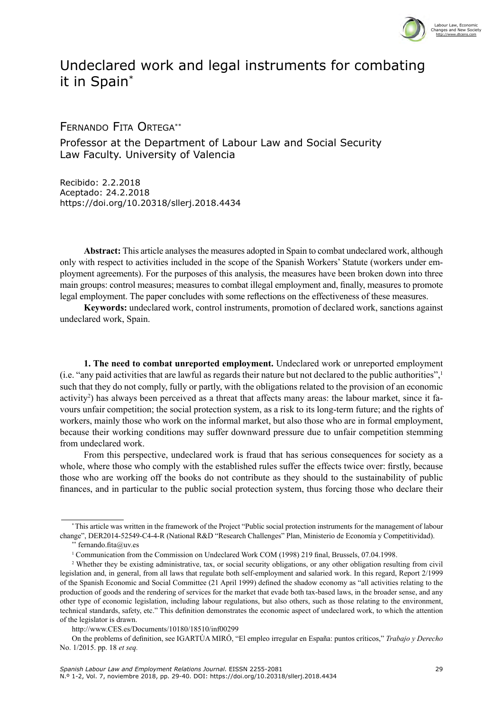

## Undeclared work and legal instruments for combating it in Spain\*

Fernando Fita Ortega\*\*

Professor at the Department of Labour Law and Social Security Law Faculty. University of Valencia

Recibido: 2.2.2018 Aceptado: 24.2.2018 <https://doi.org/10.20318/sllerj.2018.4434>

**Abstract:** This article analyses the measures adopted in Spain to combat undeclared work, although only with respect to activities included in the scope of the Spanish Workers' Statute (workers under employment agreements). For the purposes of this analysis, the measures have been broken down into three main groups: control measures; measures to combat illegal employment and, finally, measures to promote legal employment. The paper concludes with some reflections on the effectiveness of these measures.

**Keywords:** undeclared work, control instruments, promotion of declared work, sanctions against undeclared work, Spain.

**1. The need to combat unreported employment.** Undeclared work or unreported employment (i.e. "any paid activities that are lawful as regards their nature but not declared to the public authorities",1 such that they do not comply, fully or partly, with the obligations related to the provision of an economic activity<sup>2</sup>) has always been perceived as a threat that affects many areas: the labour market, since it favours unfair competition; the social protection system, as a risk to its long-term future; and the rights of workers, mainly those who work on the informal market, but also those who are in formal employment, because their working conditions may suffer downward pressure due to unfair competition stemming from undeclared work.

From this perspective, undeclared work is fraud that has serious consequences for society as a whole, where those who comply with the established rules suffer the effects twice over: firstly, because those who are working off the books do not contribute as they should to the sustainability of public finances, and in particular to the public social protection system, thus forcing those who declare their

<sup>\*</sup> This article was written in the framework of the Project "Public social protection instruments for the management of labour change", DER2014-52549-C4-4-R (National R&D "Research Challenges" Plan, Ministerio de Economía y Competitividad).

fernando.fita@uv.es

<sup>&</sup>lt;sup>1</sup> Communication from the Commission on Undeclared Work COM (1998) 219 final, Brussels, 07.04.1998.

<sup>&</sup>lt;sup>2</sup> Whether they be existing administrative, tax, or social security obligations, or any other obligation resulting from civil legislation and, in general, from all laws that regulate both self-employment and salaried work. In this regard, Report 2/1999 of the Spanish Economic and Social Committee (21 April 1999) defined the shadow economy as "all activities relating to the production of goods and the rendering of services for the market that evade both tax-based laws, in the broader sense, and any other type of economic legislation, including labour regulations, but also others, such as those relating to the environment, technical standards, safety, etc." This definition demonstrates the economic aspect of undeclared work, to which the attention of the legislator is drawn.

http://www.CES.es/Documents/10180/18510/inf00299

On the problems of definition, see IGARTÚA MIRÓ, "El empleo irregular en España: puntos críticos," *Trabajo y Derecho* No. 1/2015. pp. 18 *et seq.*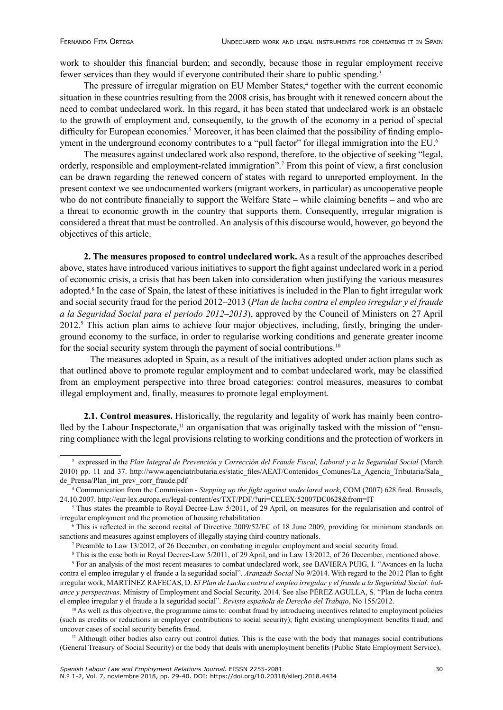work to shoulder this financial burden; and secondly, because those in regular employment receive fewer services than they would if everyone contributed their share to public spending.3

The pressure of irregular migration on EU Member States,<sup>4</sup> together with the current economic situation in these countries resulting from the 2008 crisis, has brought with it renewed concern about the need to combat undeclared work. In this regard, it has been stated that undeclared work is an obstacle to the growth of employment and, consequently, to the growth of the economy in a period of special difficulty for European economies.<sup>5</sup> Moreover, it has been claimed that the possibility of finding employment in the underground economy contributes to a "pull factor" for illegal immigration into the EU.<sup>6</sup>

The measures against undeclared work also respond, therefore, to the objective of seeking "legal, orderly, responsible and employment-related immigration".<sup>7</sup> From this point of view, a first conclusion can be drawn regarding the renewed concern of states with regard to unreported employment. In the present context we see undocumented workers (migrant workers, in particular) as uncooperative people who do not contribute financially to support the Welfare State – while claiming benefits – and who are a threat to economic growth in the country that supports them. Consequently, irregular migration is considered a threat that must be controlled. An analysis of this discourse would, however, go beyond the objectives of this article.

**2. The measures proposed to control undeclared work.** As a result of the approaches described above, states have introduced various initiatives to support the fight against undeclared work in a period of economic crisis, a crisis that has been taken into consideration when justifying the various measures adopted.<sup>8</sup> In the case of Spain, the latest of these initiatives is included in the Plan to fight irregular work and social security fraud for the period 2012–2013 (*Plan de lucha contra el empleo irregular y el fraude a la Seguridad Social para el periodo 2012–2013*), approved by the Council of Ministers on 27 April 2012.<sup>9</sup> This action plan aims to achieve four major objectives, including, firstly, bringing the underground economy to the surface, in order to regularise working conditions and generate greater income for the social security system through the payment of social contributions.<sup>10</sup>

The measures adopted in Spain, as a result of the initiatives adopted under action plans such as that outlined above to promote regular employment and to combat undeclared work, may be classified from an employment perspective into three broad categories: control measures, measures to combat illegal employment and, finally, measures to promote legal employment.

**2.1. Control measures.** Historically, the regularity and legality of work has mainly been controlled by the Labour Inspectorate,<sup>11</sup> an organisation that was originally tasked with the mission of "ensuring compliance with the legal provisions relating to working conditions and the protection of workers in

<sup>3</sup> expressed in the *Plan Integral de Prevención y Corrección del Fraude Fiscal, Laboral y a la Seguridad Social* (March 2010) pp. 11 and 37. [http://www.agenciatributaria.es/static\\_files/AEAT/Contenidos\\_Comunes/La\\_Agencia\\_Tributaria/Sala\\_](http://www.agenciatributaria.es/static_files/AEAT/Contenidos_Comunes/La_Agencia_Tributaria/Sala_de_Prensa/Plan_int_prev_corr_fraude.pdf) [de\\_Prensa/Plan\\_int\\_prev\\_corr\\_fraude.pdf](http://www.agenciatributaria.es/static_files/AEAT/Contenidos_Comunes/La_Agencia_Tributaria/Sala_de_Prensa/Plan_int_prev_corr_fraude.pdf)

<sup>4</sup> Communication from the Commission - *Stepping up the fight against undeclared work*, COM (2007) 628 final. Brussels, 24.10.2007. http://eur-lex.europa.eu/legal-content/es/TXT/PDF/?uri=CELEX:52007DC0628&from=IT

 $5$  Thus states the preamble to Royal Decree-Law  $5/2011$ , of 29 April, on measures for the regularisation and control of irregular employment and the promotion of housing rehabilitation.

<sup>6</sup> This is reflected in the second recital of Directive 2009/52/EC of 18 June 2009, providing for minimum standards on sanctions and measures against employers of illegally staying third-country nationals.

<sup>7</sup> Preamble to Law 13/2012, of 26 December, on combating irregular employment and social security fraud.

<sup>8</sup> This is the case both in Royal Decree-Law 5/2011, of 29 April, and in Law 13/2012, of 26 December, mentioned above.

<sup>9</sup> For an analysis of the most recent measures to combat undeclared work, see BAVIERA PUIG, I. "Avances en la lucha contra el empleo irregular y el fraude a la seguridad social". *Aranzadi Social* No 9/2014. With regard to the 2012 Plan to fight irregular work, MARTÍNEZ RAFECAS, D. *El Plan de Lucha contra el empleo irregular y el fraude a la Seguridad Social: balance y perspectivas*. Ministry of Employment and Social Security. 2014. See also PÉREZ AGULLA, S. "Plan de lucha contra el empleo irregular y el fraude a la seguridad social". *Revista española de Derecho del Trabajo*, No 155/2012.

 $10$  As well as this objective, the programme aims to: combat fraud by introducing incentives related to employment policies (such as credits or reductions in employer contributions to social security); fight existing unemployment benefits fraud; and uncover cases of social security benefits fraud.

<sup>&</sup>lt;sup>11</sup> Although other bodies also carry out control duties. This is the case with the body that manages social contributions (General Treasury of Social Security) or the body that deals with unemployment benefits (Public State Employment Service).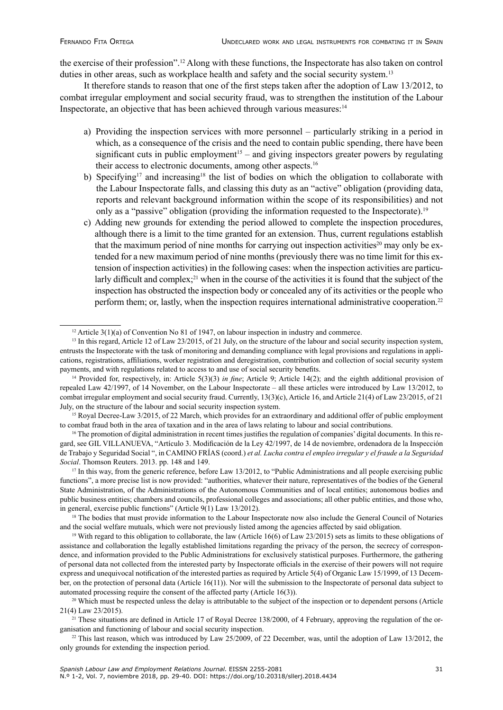the exercise of their profession".12 Along with these functions, the Inspectorate has also taken on control duties in other areas, such as workplace health and safety and the social security system.<sup>13</sup>

It therefore stands to reason that one of the first steps taken after the adoption of Law 13/2012, to combat irregular employment and social security fraud, was to strengthen the institution of the Labour Inspectorate, an objective that has been achieved through various measures:<sup>14</sup>

- a) Providing the inspection services with more personnel particularly striking in a period in which, as a consequence of the crisis and the need to contain public spending, there have been significant cuts in public employment<sup>15</sup> – and giving inspectors greater powers by regulating their access to electronic documents, among other aspects.<sup>16</sup>
- b) Specifying<sup>17</sup> and increasing<sup>18</sup> the list of bodies on which the obligation to collaborate with the Labour Inspectorate falls, and classing this duty as an "active" obligation (providing data, reports and relevant background information within the scope of its responsibilities) and not only as a "passive" obligation (providing the information requested to the Inspectorate).19
- c) Adding new grounds for extending the period allowed to complete the inspection procedures, although there is a limit to the time granted for an extension. Thus, current regulations establish that the maximum period of nine months for carrying out inspection activities<sup>20</sup> may only be extended for a new maximum period of nine months (previously there was no time limit for this extension of inspection activities) in the following cases: when the inspection activities are particularly difficult and complex;<sup>21</sup> when in the course of the activities it is found that the subject of the inspection has obstructed the inspection body or concealed any of its activities or the people who perform them; or, lastly, when the inspection requires international administrative cooperation.22

<sup>16</sup> The promotion of digital administration in recent times justifies the regulation of companies' digital documents. In this regard, see GIL VILLANUEVA, "Artículo 3. Modificación de la Ley 42/1997, de 14 de noviembre, ordenadora de la Inspección de Trabajo y Seguridad Social ", in CAMINO FRÍAS (coord.) *et al. Lucha contra el empleo irregular y el fraude a la Seguridad Social*. Thomson Reuters. 2013. pp. 148 and 149.

<sup>17</sup> In this way, from the generic reference, before Law 13/2012, to "Public Administrations and all people exercising public functions", a more precise list is now provided: "authorities, whatever their nature, representatives of the bodies of the General State Administration, of the Administrations of the Autonomous Communities and of local entities; autonomous bodies and public business entities; chambers and councils, professional colleges and associations; all other public entities, and those who, in general, exercise public functions" (Article 9(1) Law 13/2012).

<sup>18</sup> The bodies that must provide information to the Labour Inspectorate now also include the General Council of Notaries and the social welfare mutuals, which were not previously listed among the agencies affected by said obligation.

<sup>19</sup> With regard to this obligation to collaborate, the law (Article 16(6) of Law 23/2015) sets as limits to these obligations of assistance and collaboration the legally established limitations regarding the privacy of the person, the secrecy of correspondence, and information provided to the Public Administrations for exclusively statistical purposes. Furthermore, the gathering of personal data not collected from the interested party by Inspectorate officials in the exercise of their powers will not require express and unequivocal notification of the interested parties as required by Article 5(4) of Organic Law 15/1999, of 13 December, on the protection of personal data (Article 16(11)). Nor will the submission to the Inspectorate of personal data subject to automated processing require the consent of the affected party (Article 16(3)).

 $22$  This last reason, which was introduced by Law 25/2009, of 22 December, was, until the adoption of Law 13/2012, the only grounds for extending the inspection period.

<sup>&</sup>lt;sup>12</sup> Article 3(1)(a) of Convention No 81 of 1947, on labour inspection in industry and commerce.

<sup>&</sup>lt;sup>13</sup> In this regard, Article 12 of Law 23/2015, of 21 July, on the structure of the labour and social security inspection system, entrusts the Inspectorate with the task of monitoring and demanding compliance with legal provisions and regulations in applications, registrations, affiliations, worker registration and deregistration, contribution and collection of social security system payments, and with regulations related to access to and use of social security benefits.

<sup>14</sup> Provided for, respectively, in: Article 5(3)(3) *in fine*; Article 9; Article 14(2); and the eighth additional provision of repealed Law 42/1997, of 14 November, on the Labour Inspectorate – all these articles were introduced by Law 13/2012, to combat irregular employment and social security fraud. Currently, 13(3)(c), Article 16, and Article 21(4) of Law 23/2015, of 21 July, on the structure of the labour and social security inspection system.

<sup>&</sup>lt;sup>15</sup> Royal Decree-Law 3/2015, of 22 March, which provides for an extraordinary and additional offer of public employment to combat fraud both in the area of taxation and in the area of laws relating to labour and social contributions.

 $20$  Which must be respected unless the delay is attributable to the subject of the inspection or to dependent persons (Article 21(4) Law 23/2015).

<sup>&</sup>lt;sup>21</sup> These situations are defined in Article 17 of Royal Decree 138/2000, of 4 February, approving the regulation of the organisation and functioning of labour and social security inspection.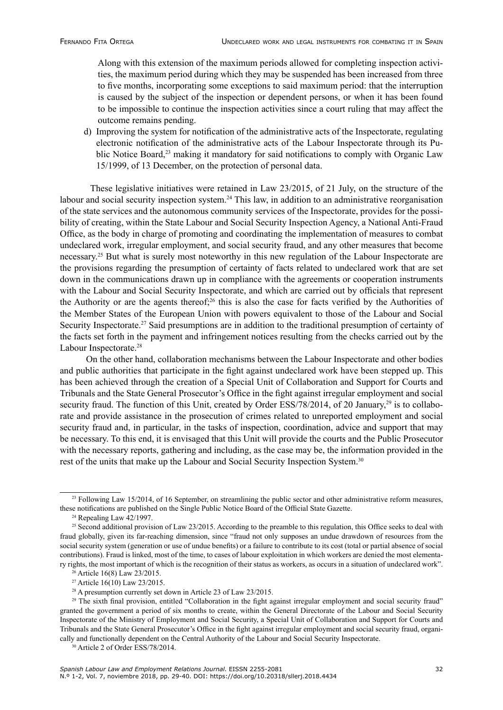Along with this extension of the maximum periods allowed for completing inspection activities, the maximum period during which they may be suspended has been increased from three to five months, incorporating some exceptions to said maximum period: that the interruption is caused by the subject of the inspection or dependent persons, or when it has been found to be impossible to continue the inspection activities since a court ruling that may affect the outcome remains pending.

d) Improving the system for notification of the administrative acts of the Inspectorate, regulating electronic notification of the administrative acts of the Labour Inspectorate through its Public Notice Board,<sup>23</sup> making it mandatory for said notifications to comply with Organic Law 15/1999, of 13 December, on the protection of personal data.

These legislative initiatives were retained in Law 23/2015, of 21 July, on the structure of the labour and social security inspection system.<sup>24</sup> This law, in addition to an administrative reorganisation of the state services and the autonomous community services of the Inspectorate, provides for the possibility of creating, within the State Labour and Social Security Inspection Agency, a National Anti-Fraud Office, as the body in charge of promoting and coordinating the implementation of measures to combat undeclared work, irregular employment, and social security fraud, and any other measures that become necessary.25 But what is surely most noteworthy in this new regulation of the Labour Inspectorate are the provisions regarding the presumption of certainty of facts related to undeclared work that are set down in the communications drawn up in compliance with the agreements or cooperation instruments with the Labour and Social Security Inspectorate, and which are carried out by officials that represent the Authority or are the agents thereof;26 this is also the case for facts verified by the Authorities of the Member States of the European Union with powers equivalent to those of the Labour and Social Security Inspectorate.<sup>27</sup> Said presumptions are in addition to the traditional presumption of certainty of the facts set forth in the payment and infringement notices resulting from the checks carried out by the Labour Inspectorate.<sup>28</sup>

 On the other hand, collaboration mechanisms between the Labour Inspectorate and other bodies and public authorities that participate in the fight against undeclared work have been stepped up. This has been achieved through the creation of a Special Unit of Collaboration and Support for Courts and Tribunals and the State General Prosecutor's Office in the fight against irregular employment and social security fraud. The function of this Unit, created by Order ESS/78/2014, of 20 January,<sup>29</sup> is to collaborate and provide assistance in the prosecution of crimes related to unreported employment and social security fraud and, in particular, in the tasks of inspection, coordination, advice and support that may be necessary. To this end, it is envisaged that this Unit will provide the courts and the Public Prosecutor with the necessary reports, gathering and including, as the case may be, the information provided in the rest of the units that make up the Labour and Social Security Inspection System.<sup>30</sup>

<sup>&</sup>lt;sup>23</sup> Following Law 15/2014, of 16 September, on streamlining the public sector and other administrative reform measures, these notifications are published on the Single Public Notice Board of the Official State Gazette.

 $24$  Repealing Law 42/1997.

<sup>&</sup>lt;sup>25</sup> Second additional provision of Law 23/2015. According to the preamble to this regulation, this Office seeks to deal with fraud globally, given its far-reaching dimension, since "fraud not only supposes an undue drawdown of resources from the social security system (generation or use of undue benefits) or a failure to contribute to its cost (total or partial absence of social contributions). Fraud is linked, most of the time, to cases of labour exploitation in which workers are denied the most elementary rights, the most important of which is the recognition of their status as workers, as occurs in a situation of undeclared work".

<sup>26</sup> Article 16(8) Law 23/2015.

<sup>27</sup> Article 16(10) Law 23/2015.

<sup>&</sup>lt;sup>28</sup> A presumption currently set down in Article 23 of Law  $23/2015$ .

<sup>&</sup>lt;sup>29</sup> The sixth final provision, entitled "Collaboration in the fight against irregular employment and social security fraud" granted the government a period of six months to create, within the General Directorate of the Labour and Social Security Inspectorate of the Ministry of Employment and Social Security, a Special Unit of Collaboration and Support for Courts and Tribunals and the State General Prosecutor's Office in the fight against irregular employment and social security fraud, organically and functionally dependent on the Central Authority of the Labour and Social Security Inspectorate.

<sup>&</sup>lt;sup>30</sup> Article 2 of Order ESS/78/2014.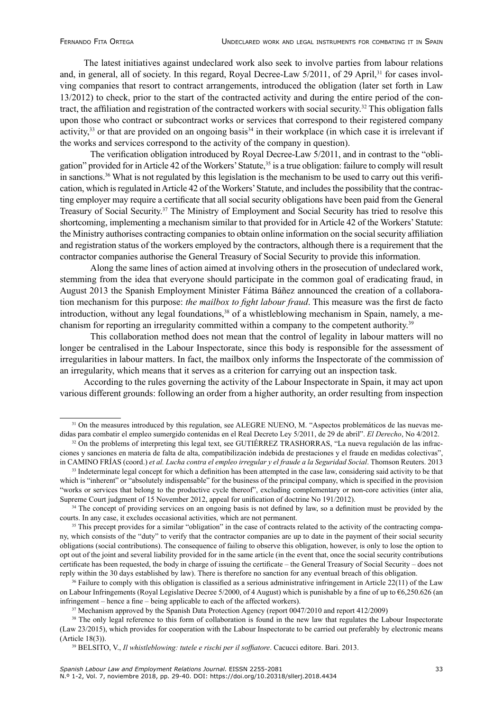The latest initiatives against undeclared work also seek to involve parties from labour relations and, in general, all of society. In this regard, Royal Decree-Law 5/2011, of 29 April,<sup>31</sup> for cases involving companies that resort to contract arrangements, introduced the obligation (later set forth in Law 13/2012) to check, prior to the start of the contracted activity and during the entire period of the contract, the affiliation and registration of the contracted workers with social security.32 This obligation falls upon those who contract or subcontract works or services that correspond to their registered company activity,<sup>33</sup> or that are provided on an ongoing basis<sup>34</sup> in their workplace (in which case it is irrelevant if the works and services correspond to the activity of the company in question).

The verification obligation introduced by Royal Decree-Law 5/2011, and in contrast to the "obligation" provided for in Article 42 of the Workers' Statute,<sup>35</sup> is a true obligation: failure to comply will result in sanctions.36 What is not regulated by this legislation is the mechanism to be used to carry out this verification, which is regulated in Article 42 of the Workers' Statute, and includes the possibility that the contracting employer may require a certificate that all social security obligations have been paid from the General Treasury of Social Security.<sup>37</sup> The Ministry of Employment and Social Security has tried to resolve this shortcoming, implementing a mechanism similar to that provided for in Article 42 of the Workers' Statute: the Ministry authorises contracting companies to obtain online information on the social security affiliation and registration status of the workers employed by the contractors, although there is a requirement that the contractor companies authorise the General Treasury of Social Security to provide this information.

Along the same lines of action aimed at involving others in the prosecution of undeclared work, stemming from the idea that everyone should participate in the common goal of eradicating fraud, in August 2013 the Spanish Employment Minister Fátima Báñez announced the creation of a collaboration mechanism for this purpose: *the mailbox to fight labour fraud*. This measure was the first de facto introduction, without any legal foundations,<sup>38</sup> of a whistleblowing mechanism in Spain, namely, a mechanism for reporting an irregularity committed within a company to the competent authority.39

This collaboration method does not mean that the control of legality in labour matters will no longer be centralised in the Labour Inspectorate, since this body is responsible for the assessment of irregularities in labour matters. In fact, the mailbox only informs the Inspectorate of the commission of an irregularity, which means that it serves as a criterion for carrying out an inspection task.

According to the rules governing the activity of the Labour Inspectorate in Spain, it may act upon various different grounds: following an order from a higher authority, an order resulting from inspection

 $36$  Failure to comply with this obligation is classified as a serious administrative infringement in Article 22(11) of the Law on Labour Infringements (Royal Legislative Decree 5/2000, of 4 August) which is punishable by a fine of up to  $6,250.626$  (an infringement – hence a fine – being applicable to each of the affected workers).

<sup>&</sup>lt;sup>31</sup> On the measures introduced by this regulation, see ALEGRE NUENO, M. "Aspectos problemáticos de las nuevas medidas para combatir el empleo sumergido contenidas en el Real Decreto Ley 5/2011, de 29 de abril". *El Derecho*, No 4/2012.

<sup>&</sup>lt;sup>32</sup> On the problems of interpreting this legal text, see GUTIÉRREZ TRASHORRAS, "La nueva regulación de las infracciones y sanciones en materia de falta de alta, compatibilización indebida de prestaciones y el fraude en medidas colectivas", in CAMINO FRÍAS (coord.) *et al. Lucha contra el empleo irregular y el fraude a la Seguridad Social*. Thomson Reuters. 2013

<sup>&</sup>lt;sup>33</sup> Indeterminate legal concept for which a definition has been attempted in the case law, considering said activity to be that which is "inherent" or "absolutely indispensable" for the business of the principal company, which is specified in the provision "works or services that belong to the productive cycle thereof", excluding complementary or non-core activities (inter alia, Supreme Court judgment of 15 November 2012, appeal for unification of doctrine No 191/2012).

<sup>&</sup>lt;sup>34</sup> The concept of providing services on an ongoing basis is not defined by law, so a definition must be provided by the courts. In any case, it excludes occasional activities, which are not permanent.

<sup>&</sup>lt;sup>35</sup> This precept provides for a similar "obligation" in the case of contracts related to the activity of the contracting company, which consists of the "duty" to verify that the contractor companies are up to date in the payment of their social security obligations (social contributions). The consequence of failing to observe this obligation, however, is only to lose the option to opt out of the joint and several liability provided for in the same article (in the event that, once the social security contributions certificate has been requested, the body in charge of issuing the certificate – the General Treasury of Social Security – does not reply within the 30 days established by law). There is therefore no sanction for any eventual breach of this obligation.

<sup>&</sup>lt;sup>37</sup> Mechanism approved by the Spanish Data Protection Agency (report 0047/2010 and report 412/2009)

<sup>&</sup>lt;sup>38</sup> The only legal reference to this form of collaboration is found in the new law that regulates the Labour Inspectorate (Law 23/2015), which provides for cooperation with the Labour Inspectorate to be carried out preferably by electronic means (Article 18(3)).

<sup>39</sup> BELSITO, V., *Il whistleblowing: tutele e rischi per il soffiatore*. Cacucci editore. Bari. 2013.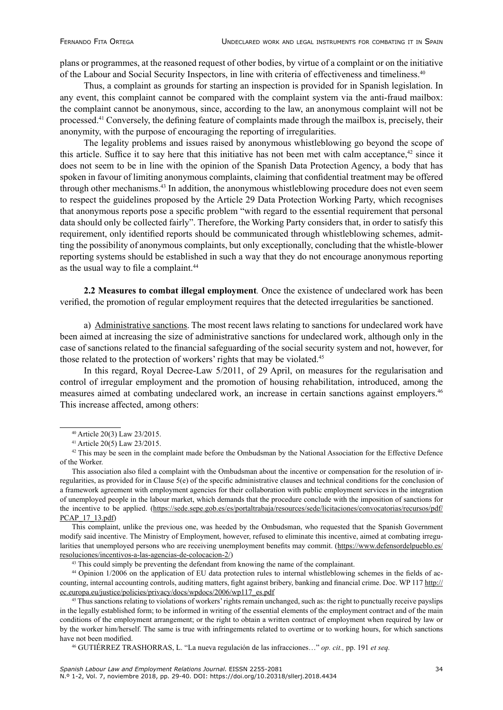plans or programmes, at the reasoned request of other bodies, by virtue of a complaint or on the initiative of the Labour and Social Security Inspectors, in line with criteria of effectiveness and timeliness.<sup>40</sup>

Thus, a complaint as grounds for starting an inspection is provided for in Spanish legislation. In any event, this complaint cannot be compared with the complaint system via the anti-fraud mailbox: the complaint cannot be anonymous, since, according to the law, an anonymous complaint will not be processed.41 Conversely, the defining feature of complaints made through the mailbox is, precisely, their anonymity, with the purpose of encouraging the reporting of irregularities.

The legality problems and issues raised by anonymous whistleblowing go beyond the scope of this article. Suffice it to say here that this initiative has not been met with calm acceptance,<sup>42</sup> since it does not seem to be in line with the opinion of the Spanish Data Protection Agency, a body that has spoken in favour of limiting anonymous complaints, claiming that confidential treatment may be offered through other mechanisms.<sup>43</sup> In addition, the anonymous whistleblowing procedure does not even seem to respect the guidelines proposed by the Article 29 Data Protection Working Party, which recognises that anonymous reports pose a specific problem "with regard to the essential requirement that personal data should only be collected fairly". Therefore, the Working Party considers that, in order to satisfy this requirement, only identified reports should be communicated through whistleblowing schemes, admitting the possibility of anonymous complaints, but only exceptionally, concluding that the whistle-blower reporting systems should be established in such a way that they do not encourage anonymous reporting as the usual way to file a complaint.<sup>44</sup>

**2.2 Measures to combat illegal employment***.* Once the existence of undeclared work has been verified, the promotion of regular employment requires that the detected irregularities be sanctioned.

a) Administrative sanctions. The most recent laws relating to sanctions for undeclared work have been aimed at increasing the size of administrative sanctions for undeclared work, although only in the case of sanctions related to the financial safeguarding of the social security system and not, however, for those related to the protection of workers' rights that may be violated.<sup>45</sup>

In this regard, Royal Decree-Law 5/2011, of 29 April, on measures for the regularisation and control of irregular employment and the promotion of housing rehabilitation, introduced, among the measures aimed at combating undeclared work, an increase in certain sanctions against employers.<sup>46</sup> This increase affected, among others:

This complaint, unlike the previous one, was heeded by the Ombudsman, who requested that the Spanish Government modify said incentive. The Ministry of Employment, however, refused to eliminate this incentive, aimed at combating irregularities that unemployed persons who are receiving unemployment benefits may commit. ([https://www.defensordelpueblo.es/](https://www.defensordelpueblo.es/resoluciones/incentivos-a-las-agencias-de-colocacion-2/) [resoluciones/incentivos-a-las-agencias-de-colocacion-2/\)](https://www.defensordelpueblo.es/resoluciones/incentivos-a-las-agencias-de-colocacion-2/)

<sup>43</sup> This could simply be preventing the defendant from knowing the name of the complainant.

<sup>44</sup> Opinion 1/2006 on the application of EU data protection rules to internal whistleblowing schemes in the fields of accounting, internal accounting controls, auditing matters, fight against bribery, banking and financial crime. Doc. WP 117 [http://](http://ec.europa.eu/justice/policies/privacy/docs/wpdocs/2006/wp117_es.pdf) [ec.europa.eu/justice/policies/privacy/docs/wpdocs/2006/wp117\\_es.pdf](http://ec.europa.eu/justice/policies/privacy/docs/wpdocs/2006/wp117_es.pdf)

<sup>46</sup> GUTIÉRREZ TRASHORRAS, L. "La nueva regulación de las infracciones…" *op. cit.,* pp. 191 *et seq.*

<sup>40</sup> Article 20(3) Law 23/2015.

<sup>41</sup> Article 20(5) Law 23/2015.

<sup>&</sup>lt;sup>42</sup> This may be seen in the complaint made before the Ombudsman by the National Association for the Effective Defence of the Worker.

This association also filed a complaint with the Ombudsman about the incentive or compensation for the resolution of irregularities, as provided for in Clause 5(e) of the specific administrative clauses and technical conditions for the conclusion of a framework agreement with employment agencies for their collaboration with public employment services in the integration of unemployed people in the labour market, which demands that the procedure conclude with the imposition of sanctions for the incentive to be applied. [\(https://sede.sepe.gob.es/es/portaltrabaja/resources/sede/licitaciones/convocatorias/recursos/pdf/](https://sede.sepe.gob.es/es/portaltrabaja/resources/sede/licitaciones/convocatorias/recursos/pdf/PCAP_17_13.pdf) [PCAP\\_17\\_13.pdf](https://sede.sepe.gob.es/es/portaltrabaja/resources/sede/licitaciones/convocatorias/recursos/pdf/PCAP_17_13.pdf))

<sup>&</sup>lt;sup>45</sup> Thus sanctions relating to violations of workers' rights remain unchanged, such as: the right to punctually receive payslips in the legally established form; to be informed in writing of the essential elements of the employment contract and of the main conditions of the employment arrangement; or the right to obtain a written contract of employment when required by law or by the worker him/herself. The same is true with infringements related to overtime or to working hours, for which sanctions have not been modified.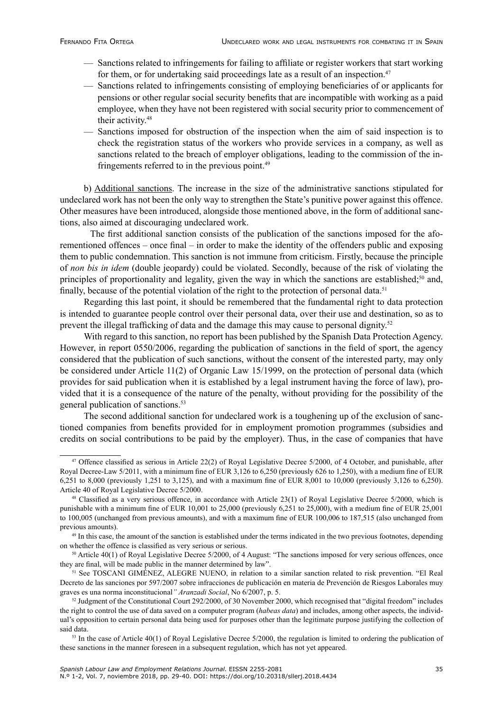- Sanctions related to infringements for failing to affiliate or register workers that start working for them, or for undertaking said proceedings late as a result of an inspection.<sup>47</sup>
- Sanctions related to infringements consisting of employing beneficiaries of or applicants for pensions or other regular social security benefits that are incompatible with working as a paid employee, when they have not been registered with social security prior to commencement of their activity.<sup>48</sup>
- Sanctions imposed for obstruction of the inspection when the aim of said inspection is to check the registration status of the workers who provide services in a company, as well as sanctions related to the breach of employer obligations, leading to the commission of the infringements referred to in the previous point.<sup>49</sup>

b) Additional sanctions. The increase in the size of the administrative sanctions stipulated for undeclared work has not been the only way to strengthen the State's punitive power against this offence. Other measures have been introduced, alongside those mentioned above, in the form of additional sanctions, also aimed at discouraging undeclared work.

The first additional sanction consists of the publication of the sanctions imposed for the aforementioned offences – once final – in order to make the identity of the offenders public and exposing them to public condemnation. This sanction is not immune from criticism. Firstly, because the principle of *non bis in idem* (double jeopardy) could be violated. Secondly, because of the risk of violating the principles of proportionality and legality, given the way in which the sanctions are established;<sup>50</sup> and, finally, because of the potential violation of the right to the protection of personal data.<sup>51</sup>

Regarding this last point, it should be remembered that the fundamental right to data protection is intended to guarantee people control over their personal data, over their use and destination, so as to prevent the illegal trafficking of data and the damage this may cause to personal dignity.<sup>52</sup>

With regard to this sanction, no report has been published by the Spanish Data Protection Agency. However, in report 0550/2006, regarding the publication of sanctions in the field of sport, the agency considered that the publication of such sanctions, without the consent of the interested party, may only be considered under Article 11(2) of Organic Law 15/1999, on the protection of personal data (which provides for said publication when it is established by a legal instrument having the force of law), provided that it is a consequence of the nature of the penalty, without providing for the possibility of the general publication of sanctions.<sup>53</sup>

The second additional sanction for undeclared work is a toughening up of the exclusion of sanctioned companies from benefits provided for in employment promotion programmes (subsidies and credits on social contributions to be paid by the employer). Thus, in the case of companies that have

<sup>&</sup>lt;sup>47</sup> Offence classified as serious in Article 22(2) of Royal Legislative Decree 5/2000, of 4 October, and punishable, after Royal Decree-Law 5/2011, with a minimum fine of EUR 3,126 to 6,250 (previously 626 to 1,250), with a medium fine of EUR 6,251 to 8,000 (previously 1,251 to 3,125), and with a maximum fine of EUR 8,001 to 10,000 (previously 3,126 to 6,250). Article 40 of Royal Legislative Decree 5/2000.

 $48$  Classified as a very serious offence, in accordance with Article 23(1) of Royal Legislative Decree 5/2000, which is punishable with a minimum fine of EUR 10,001 to 25,000 (previously 6,251 to 25,000), with a medium fine of EUR 25,001 to 100,005 (unchanged from previous amounts), and with a maximum fine of EUR 100,006 to 187,515 (also unchanged from previous amounts).

<sup>&</sup>lt;sup>49</sup> In this case, the amount of the sanction is established under the terms indicated in the two previous footnotes, depending on whether the offence is classified as very serious or serious.

<sup>50</sup> Article 40(1) of Royal Legislative Decree 5/2000, of 4 August: "The sanctions imposed for very serious offences, once they are final, will be made public in the manner determined by law".

<sup>51</sup> See TOSCANI GIMÉNEZ, ALEGRE NUENO, in relation to a similar sanction related to risk prevention. "El Real Decreto de las sanciones por 597/2007 sobre infracciones de publicación en materia de Prevención de Riesgos Laborales muy graves es una norma inconstitucional*" Aranzadi Social*, No 6/2007, p. 5.

 $52$  Judgment of the Constitutional Court 292/2000, of 30 November 2000, which recognised that "digital freedom" includes the right to control the use of data saved on a computer program (*habeas data*) and includes, among other aspects, the individual's opposition to certain personal data being used for purposes other than the legitimate purpose justifying the collection of said data.

 $53$  In the case of Article 40(1) of Royal Legislative Decree  $5/2000$ , the regulation is limited to ordering the publication of these sanctions in the manner foreseen in a subsequent regulation, which has not yet appeared.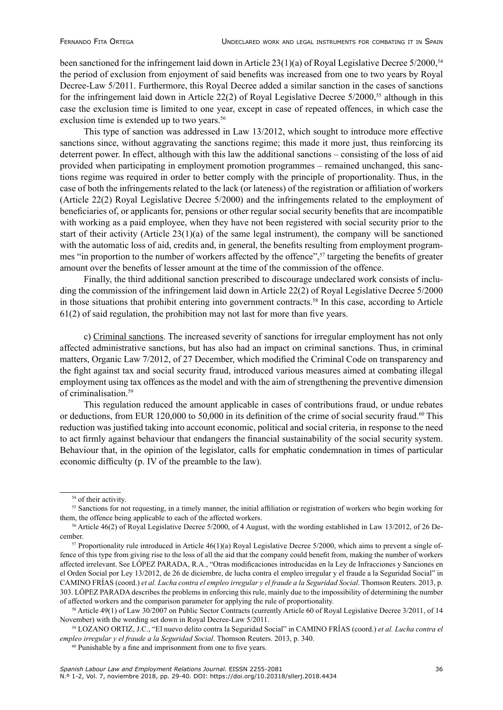been sanctioned for the infringement laid down in Article  $23(1)(a)$  of Royal Legislative Decree  $5/2000$ ,<sup>54</sup> the period of exclusion from enjoyment of said benefits was increased from one to two years by Royal Decree-Law 5/2011. Furthermore, this Royal Decree added a similar sanction in the cases of sanctions for the infringement laid down in Article 22(2) of Royal Legislative Decree 5/2000,<sup>55</sup> although in this case the exclusion time is limited to one year, except in case of repeated offences, in which case the exclusion time is extended up to two years.<sup>56</sup>

This type of sanction was addressed in Law 13/2012, which sought to introduce more effective sanctions since, without aggravating the sanctions regime; this made it more just, thus reinforcing its deterrent power. In effect, although with this law the additional sanctions – consisting of the loss of aid provided when participating in employment promotion programmes – remained unchanged, this sanctions regime was required in order to better comply with the principle of proportionality. Thus, in the case of both the infringements related to the lack (or lateness) of the registration or affiliation of workers (Article 22(2) Royal Legislative Decree 5/2000) and the infringements related to the employment of beneficiaries of, or applicants for, pensions or other regular social security benefits that are incompatible with working as a paid employee, when they have not been registered with social security prior to the start of their activity (Article  $23(1)(a)$  of the same legal instrument), the company will be sanctioned with the automatic loss of aid, credits and, in general, the benefits resulting from employment programmes "in proportion to the number of workers affected by the offence",57 targeting the benefits of greater amount over the benefits of lesser amount at the time of the commission of the offence.

Finally, the third additional sanction prescribed to discourage undeclared work consists of including the commission of the infringement laid down in Article 22(2) of Royal Legislative Decree 5/2000 in those situations that prohibit entering into government contracts.<sup>58</sup> In this case, according to Article 61(2) of said regulation, the prohibition may not last for more than five years.

c) Criminal sanctions. The increased severity of sanctions for irregular employment has not only affected administrative sanctions, but has also had an impact on criminal sanctions. Thus, in criminal matters, Organic Law 7/2012, of 27 December, which modified the Criminal Code on transparency and the fight against tax and social security fraud, introduced various measures aimed at combating illegal employment using tax offences as the model and with the aim of strengthening the preventive dimension of criminalisation.<sup>59</sup>

This regulation reduced the amount applicable in cases of contributions fraud, or undue rebates or deductions, from EUR 120,000 to 50,000 in its definition of the crime of social security fraud.<sup>60</sup> This reduction was justified taking into account economic, political and social criteria, in response to the need to act firmly against behaviour that endangers the financial sustainability of the social security system. Behaviour that, in the opinion of the legislator, calls for emphatic condemnation in times of particular economic difficulty (p. IV of the preamble to the law).

<sup>&</sup>lt;sup>54</sup> of their activity.

<sup>&</sup>lt;sup>55</sup> Sanctions for not requesting, in a timely manner, the initial affiliation or registration of workers who begin working for them, the offence being applicable to each of the affected workers.

<sup>56</sup> Article 46(2) of Royal Legislative Decree 5/2000, of 4 August, with the wording established in Law 13/2012, of 26 December.

 $57$  Proportionality rule introduced in Article 46(1)(a) Royal Legislative Decree 5/2000, which aims to prevent a single offence of this type from giving rise to the loss of all the aid that the company could benefit from, making the number of workers affected irrelevant. See LÓPEZ PARADA, R.A., "Otras modificaciones introducidas en la Ley de Infracciones y Sanciones en el Orden Social por Ley 13/2012, de 26 de diciembre, de lucha contra el empleo irregular y el fraude a la Seguridad Social" in CAMINO FRÍAS (coord.) *et al. Lucha contra el empleo irregular y el fraude a la Seguridad Social*. Thomson Reuters. 2013, p. 303. LÓPEZ PARADA describes the problems in enforcing this rule, mainly due to the impossibility of determining the number of affected workers and the comparison parameter for applying the rule of proportionality.

<sup>58</sup> Article 49(1) of Law 30/2007 on Public Sector Contracts (currently Article 60 of Royal Legislative Decree 3/2011, of 14 November) with the wording set down in Royal Decree-Law 5/2011.

<sup>59</sup> LOZANO ORTIZ, J.C., "El nuevo delito contra la Seguridad Social" in CAMINO FRÍAS (coord.) *et al. Lucha contra el empleo irregular y el fraude a la Seguridad Social*. Thomson Reuters. 2013, p. 340.

<sup>60</sup> Punishable by a fine and imprisonment from one to five years.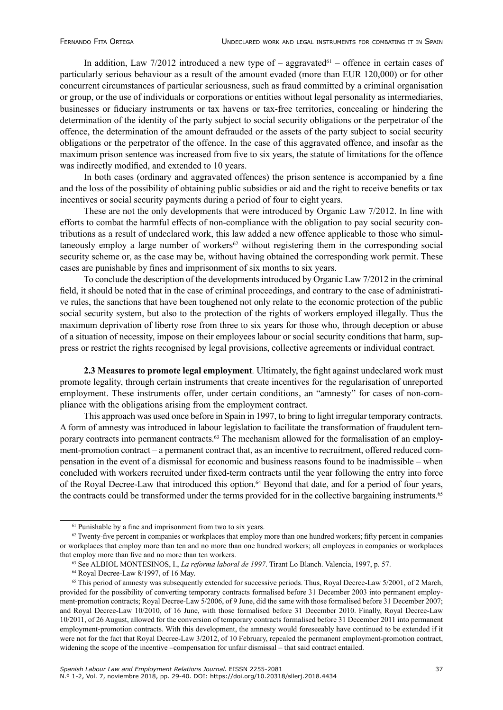In addition, Law 7/2012 introduced a new type of – aggravated<sup>61</sup> – offence in certain cases of particularly serious behaviour as a result of the amount evaded (more than EUR 120,000) or for other concurrent circumstances of particular seriousness, such as fraud committed by a criminal organisation or group, or the use of individuals or corporations or entities without legal personality as intermediaries, businesses or fiduciary instruments or tax havens or tax-free territories, concealing or hindering the determination of the identity of the party subject to social security obligations or the perpetrator of the offence, the determination of the amount defrauded or the assets of the party subject to social security obligations or the perpetrator of the offence. In the case of this aggravated offence, and insofar as the maximum prison sentence was increased from five to six years, the statute of limitations for the offence was indirectly modified, and extended to 10 years.

In both cases (ordinary and aggravated offences) the prison sentence is accompanied by a fine and the loss of the possibility of obtaining public subsidies or aid and the right to receive benefits or tax incentives or social security payments during a period of four to eight years.

These are not the only developments that were introduced by Organic Law 7/2012. In line with efforts to combat the harmful effects of non-compliance with the obligation to pay social security contributions as a result of undeclared work, this law added a new offence applicable to those who simultaneously employ a large number of workers<sup> $62$ </sup> without registering them in the corresponding social security scheme or, as the case may be, without having obtained the corresponding work permit. These cases are punishable by fines and imprisonment of six months to six years.

To conclude the description of the developments introduced by Organic Law 7/2012 in the criminal field, it should be noted that in the case of criminal proceedings, and contrary to the case of administrative rules, the sanctions that have been toughened not only relate to the economic protection of the public social security system, but also to the protection of the rights of workers employed illegally. Thus the maximum deprivation of liberty rose from three to six years for those who, through deception or abuse of a situation of necessity, impose on their employees labour or social security conditions that harm, suppress or restrict the rights recognised by legal provisions, collective agreements or individual contract.

**2.3 Measures to promote legal employment***.* Ultimately, the fight against undeclared work must promote legality, through certain instruments that create incentives for the regularisation of unreported employment. These instruments offer, under certain conditions, an "amnesty" for cases of non-compliance with the obligations arising from the employment contract.

This approach was used once before in Spain in 1997, to bring to light irregular temporary contracts. A form of amnesty was introduced in labour legislation to facilitate the transformation of fraudulent temporary contracts into permanent contracts.<sup>63</sup> The mechanism allowed for the formalisation of an employment-promotion contract – a permanent contract that, as an incentive to recruitment, offered reduced compensation in the event of a dismissal for economic and business reasons found to be inadmissible – when concluded with workers recruited under fixed-term contracts until the year following the entry into force of the Royal Decree-Law that introduced this option.64 Beyond that date, and for a period of four years, the contracts could be transformed under the terms provided for in the collective bargaining instruments.<sup>65</sup>

<sup>&</sup>lt;sup>61</sup> Punishable by a fine and imprisonment from two to six years.

 $62$  Twenty-five percent in companies or workplaces that employ more than one hundred workers; fifty percent in companies or workplaces that employ more than ten and no more than one hundred workers; all employees in companies or workplaces that employ more than five and no more than ten workers.

<sup>63</sup> See ALBIOL MONTESINOS, I., *La reforma laboral de 1997*. Tirant Lo Blanch. Valencia, 1997, p. 57.

<sup>64</sup> Royal Decree-Law 8/1997, of 16 May.

<sup>&</sup>lt;sup>65</sup> This period of amnesty was subsequently extended for successive periods. Thus, Royal Decree-Law 5/2001, of 2 March, provided for the possibility of converting temporary contracts formalised before 31 December 2003 into permanent employment-promotion contracts; Royal Decree-Law 5/2006, of 9 June, did the same with those formalised before 31 December 2007; and Royal Decree-Law 10/2010, of 16 June, with those formalised before 31 December 2010. Finally, Royal Decree-Law 10/2011, of 26 August, allowed for the conversion of temporary contracts formalised before 31 December 2011 into permanent employment-promotion contracts. With this development, the amnesty would foreseeably have continued to be extended if it were not for the fact that Royal Decree-Law 3/2012, of 10 February, repealed the permanent employment-promotion contract, widening the scope of the incentive –compensation for unfair dismissal – that said contract entailed.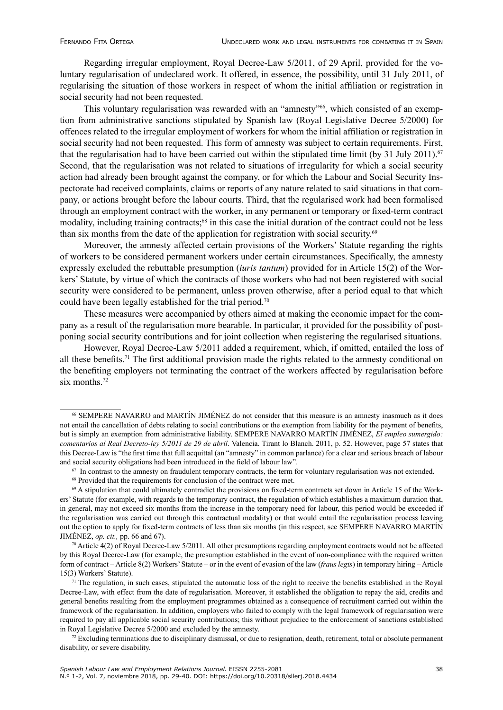Regarding irregular employment, Royal Decree-Law 5/2011, of 29 April, provided for the voluntary regularisation of undeclared work. It offered, in essence, the possibility, until 31 July 2011, of regularising the situation of those workers in respect of whom the initial affiliation or registration in social security had not been requested.

This voluntary regularisation was rewarded with an "amnesty"<sup>66</sup>, which consisted of an exemption from administrative sanctions stipulated by Spanish law (Royal Legislative Decree 5/2000) for offences related to the irregular employment of workers for whom the initial affiliation or registration in social security had not been requested. This form of amnesty was subject to certain requirements. First, that the regularisation had to have been carried out within the stipulated time limit (by 31 July 2011).<sup>67</sup> Second, that the regularisation was not related to situations of irregularity for which a social security action had already been brought against the company, or for which the Labour and Social Security Inspectorate had received complaints, claims or reports of any nature related to said situations in that company, or actions brought before the labour courts. Third, that the regularised work had been formalised through an employment contract with the worker, in any permanent or temporary or fixed-term contract modality, including training contracts;<sup>68</sup> in this case the initial duration of the contract could not be less than six months from the date of the application for registration with social security.<sup>69</sup>

Moreover, the amnesty affected certain provisions of the Workers' Statute regarding the rights of workers to be considered permanent workers under certain circumstances. Specifically, the amnesty expressly excluded the rebuttable presumption (*iuris tantum*) provided for in Article 15(2) of the Workers' Statute, by virtue of which the contracts of those workers who had not been registered with social security were considered to be permanent, unless proven otherwise, after a period equal to that which could have been legally established for the trial period.<sup>70</sup>

These measures were accompanied by others aimed at making the economic impact for the company as a result of the regularisation more bearable. In particular, it provided for the possibility of postponing social security contributions and for joint collection when registering the regularised situations.

However, Royal Decree-Law 5/2011 added a requirement, which, if omitted, entailed the loss of all these benefits.71 The first additional provision made the rights related to the amnesty conditional on the benefiting employers not terminating the contract of the workers affected by regularisation before six months.<sup>72</sup>

<sup>66</sup> SEMPERE NAVARRO and MARTÍN JIMÉNEZ do not consider that this measure is an amnesty inasmuch as it does not entail the cancellation of debts relating to social contributions or the exemption from liability for the payment of benefits, but is simply an exemption from administrative liability. SEMPERE NAVARRO MARTÍN JIMÉNEZ, *El empleo sumergido: comentarios al Real Decreto-ley 5/2011 de 29 de abril*. Valencia. Tirant lo Blanch. 2011, p. 52. However, page 57 states that this Decree-Law is "the first time that full acquittal (an "amnesty" in common parlance) for a clear and serious breach of labour and social security obligations had been introduced in the field of labour law".

 $67$  In contrast to the amnesty on fraudulent temporary contracts, the term for voluntary regularisation was not extended.

<sup>&</sup>lt;sup>68</sup> Provided that the requirements for conclusion of the contract were met.

<sup>69</sup> A stipulation that could ultimately contradict the provisions on fixed-term contracts set down in Article 15 of the Workers' Statute (for example, with regards to the temporary contract, the regulation of which establishes a maximum duration that, in general, may not exceed six months from the increase in the temporary need for labour, this period would be exceeded if the regularisation was carried out through this contractual modality) or that would entail the regularisation process leaving out the option to apply for fixed-term contracts of less than six months (in this respect, see SEMPERE NAVARRO MARTÍN JIMÉNEZ, *op. cit.,* pp. 66 and 67).

 $70$  Article 4(2) of Royal Decree-Law 5/2011. All other presumptions regarding employment contracts would not be affected by this Royal Decree-Law (for example, the presumption established in the event of non-compliance with the required written form of contract – Article 8(2) Workers' Statute – or in the event of evasion of the law (*fraus legis*) in temporary hiring – Article 15(3) Workers' Statute).

 $71$  The regulation, in such cases, stipulated the automatic loss of the right to receive the benefits established in the Royal Decree-Law, with effect from the date of regularisation. Moreover, it established the obligation to repay the aid, credits and general benefits resulting from the employment programmes obtained as a consequence of recruitment carried out within the framework of the regularisation. In addition, employers who failed to comply with the legal framework of regularisation were required to pay all applicable social security contributions; this without prejudice to the enforcement of sanctions established in Royal Legislative Decree 5/2000 and excluded by the amnesty.

 $72$  Excluding terminations due to disciplinary dismissal, or due to resignation, death, retirement, total or absolute permanent disability, or severe disability.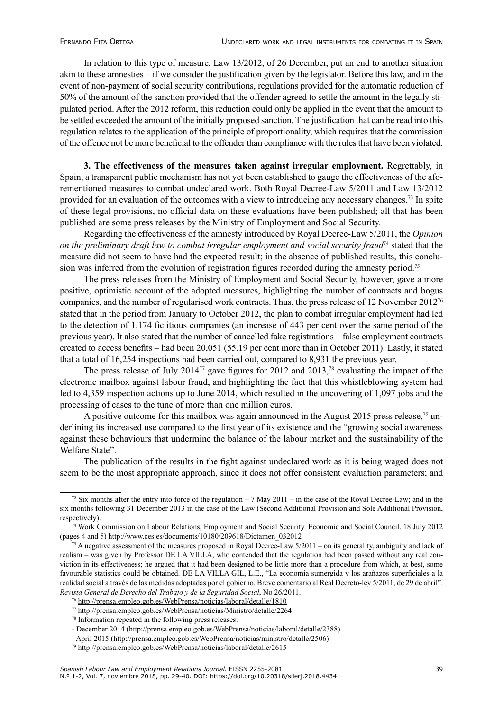In relation to this type of measure, Law 13/2012, of 26 December, put an end to another situation akin to these amnesties – if we consider the justification given by the legislator. Before this law, and in the event of non-payment of social security contributions, regulations provided for the automatic reduction of 50% of the amount of the sanction provided that the offender agreed to settle the amount in the legally stipulated period. After the 2012 reform, this reduction could only be applied in the event that the amount to be settled exceeded the amount of the initially proposed sanction. The justification that can be read into this regulation relates to the application of the principle of proportionality, which requires that the commission of the offence not be more beneficial to the offender than compliance with the rules that have been violated.

**3. The effectiveness of the measures taken against irregular employment.** Regrettably, in Spain, a transparent public mechanism has not yet been established to gauge the effectiveness of the aforementioned measures to combat undeclared work. Both Royal Decree-Law 5/2011 and Law 13/2012 provided for an evaluation of the outcomes with a view to introducing any necessary changes.<sup>73</sup> In spite of these legal provisions, no official data on these evaluations have been published; all that has been published are some press releases by the Ministry of Employment and Social Security.

Regarding the effectiveness of the amnesty introduced by Royal Decree-Law 5/2011, the *Opinion on the preliminary draft law to combat irregular employment and social security fraud*<sup>74</sup> stated that the measure did not seem to have had the expected result; in the absence of published results, this conclusion was inferred from the evolution of registration figures recorded during the amnesty period.<sup>75</sup>

The press releases from the Ministry of Employment and Social Security, however, gave a more positive, optimistic account of the adopted measures, highlighting the number of contracts and bogus companies, and the number of regularised work contracts. Thus, the press release of 12 November 201276 stated that in the period from January to October 2012, the plan to combat irregular employment had led to the detection of 1,174 fictitious companies (an increase of 443 per cent over the same period of the previous year). It also stated that the number of cancelled fake registrations – false employment contracts created to access benefits – had been 20,051 (55.19 per cent more than in October 2011). Lastly, it stated that a total of 16,254 inspections had been carried out, compared to 8,931 the previous year.

The press release of July 2014<sup>77</sup> gave figures for 2012 and 2013,<sup>78</sup> evaluating the impact of the electronic mailbox against labour fraud, and highlighting the fact that this whistleblowing system had led to 4,359 inspection actions up to June 2014, which resulted in the uncovering of 1,097 jobs and the processing of cases to the tune of more than one million euros.

A positive outcome for this mailbox was again announced in the August 2015 press release.<sup>79</sup> underlining its increased use compared to the first year of its existence and the "growing social awareness against these behaviours that undermine the balance of the labour market and the sustainability of the Welfare State".

The publication of the results in the fight against undeclared work as it is being waged does not seem to be the most appropriate approach, since it does not offer consistent evaluation parameters; and

<sup>&</sup>lt;sup>73</sup> Six months after the entry into force of the regulation  $-7$  May 2011 – in the case of the Royal Decree-Law; and in the six months following 31 December 2013 in the case of the Law (Second Additional Provision and Sole Additional Provision, respectively).

<sup>74</sup> Work Commission on Labour Relations, Employment and Social Security. Economic and Social Council. 18 July 2012 (pages 4 and 5) [http://www.ces.es/documents/10180/209618/Dictamen\\_032012](http://www.ces.es/documents/10180/209618/Dictamen_032012)

 $75$  A negative assessment of the measures proposed in Royal Decree-Law  $5/2011$  – on its generality, ambiguity and lack of realism – was given by Professor DE LA VILLA, who contended that the regulation had been passed without any real conviction in its effectiveness; he argued that it had been designed to be little more than a procedure from which, at best, some favourable statistics could be obtained. DE LA VILLA GIL, L.E., "La economía sumergida y los arañazos superficiales a la realidad social a través de las medidas adoptadas por el gobierno. Breve comentario al Real Decreto-ley 5/2011, de 29 de abril". *Revista General de Derecho del Trabajo y de la Seguridad Social*, No 26/2011.

<sup>76</sup> <http://prensa.empleo.gob.es/WebPrensa/noticias/laboral/detalle/1810>

<sup>77</sup> <http://prensa.empleo.gob.es/WebPrensa/noticias/Ministro/detalle/2264>

<sup>78</sup> Information repeated in the following press releases:

<sup>-</sup> December 2014 (http://prensa.empleo.gob.es/WebPrensa/noticias/laboral/detalle/2388)

<sup>-</sup> April 2015 (http://prensa.empleo.gob.es/WebPrensa/noticias/ministro/detalle/2506)

<sup>79</sup> <http://prensa.empleo.gob.es/WebPrensa/noticias/laboral/detalle/2615>